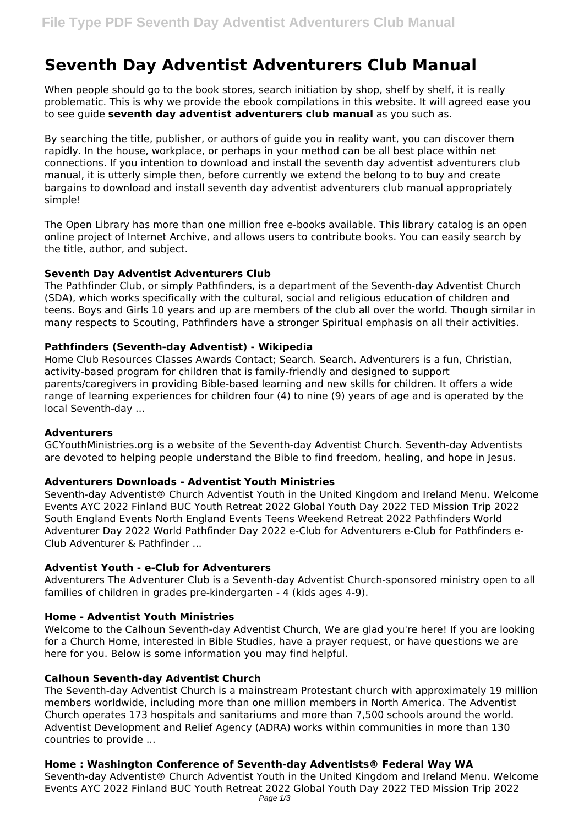# **Seventh Day Adventist Adventurers Club Manual**

When people should go to the book stores, search initiation by shop, shelf by shelf, it is really problematic. This is why we provide the ebook compilations in this website. It will agreed ease you to see guide **seventh day adventist adventurers club manual** as you such as.

By searching the title, publisher, or authors of guide you in reality want, you can discover them rapidly. In the house, workplace, or perhaps in your method can be all best place within net connections. If you intention to download and install the seventh day adventist adventurers club manual, it is utterly simple then, before currently we extend the belong to to buy and create bargains to download and install seventh day adventist adventurers club manual appropriately simple!

The Open Library has more than one million free e-books available. This library catalog is an open online project of Internet Archive, and allows users to contribute books. You can easily search by the title, author, and subject.

# **Seventh Day Adventist Adventurers Club**

The Pathfinder Club, or simply Pathfinders, is a department of the Seventh-day Adventist Church (SDA), which works specifically with the cultural, social and religious education of children and teens. Boys and Girls 10 years and up are members of the club all over the world. Though similar in many respects to Scouting, Pathfinders have a stronger Spiritual emphasis on all their activities.

# **Pathfinders (Seventh-day Adventist) - Wikipedia**

Home Club Resources Classes Awards Contact; Search. Search. Adventurers is a fun, Christian, activity-based program for children that is family-friendly and designed to support parents/caregivers in providing Bible-based learning and new skills for children. It offers a wide range of learning experiences for children four (4) to nine (9) years of age and is operated by the local Seventh-day ...

## **Adventurers**

GCYouthMinistries.org is a website of the Seventh-day Adventist Church. Seventh-day Adventists are devoted to helping people understand the Bible to find freedom, healing, and hope in Jesus.

## **Adventurers Downloads - Adventist Youth Ministries**

Seventh-day Adventist® Church Adventist Youth in the United Kingdom and Ireland Menu. Welcome Events AYC 2022 Finland BUC Youth Retreat 2022 Global Youth Day 2022 TED Mission Trip 2022 South England Events North England Events Teens Weekend Retreat 2022 Pathfinders World Adventurer Day 2022 World Pathfinder Day 2022 e-Club for Adventurers e-Club for Pathfinders e-Club Adventurer & Pathfinder ...

# **Adventist Youth - e-Club for Adventurers**

Adventurers The Adventurer Club is a Seventh-day Adventist Church-sponsored ministry open to all families of children in grades pre-kindergarten - 4 (kids ages 4-9).

## **Home - Adventist Youth Ministries**

Welcome to the Calhoun Seventh-day Adventist Church, We are glad you're here! If you are looking for a Church Home, interested in Bible Studies, have a prayer request, or have questions we are here for you. Below is some information you may find helpful.

# **Calhoun Seventh-day Adventist Church**

The Seventh-day Adventist Church is a mainstream Protestant church with approximately 19 million members worldwide, including more than one million members in North America. The Adventist Church operates 173 hospitals and sanitariums and more than 7,500 schools around the world. Adventist Development and Relief Agency (ADRA) works within communities in more than 130 countries to provide ...

# **Home : Washington Conference of Seventh-day Adventists® Federal Way WA**

Seventh-day Adventist® Church Adventist Youth in the United Kingdom and Ireland Menu. Welcome Events AYC 2022 Finland BUC Youth Retreat 2022 Global Youth Day 2022 TED Mission Trip 2022 Page 1/3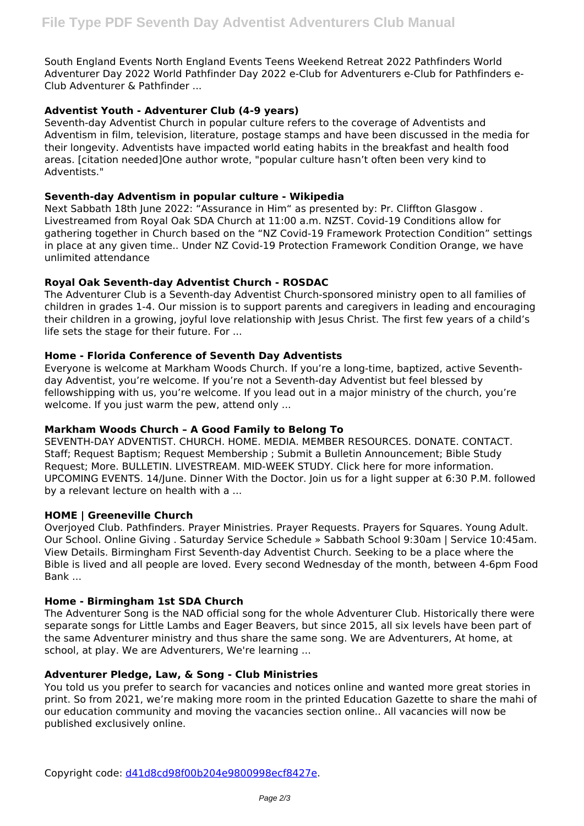South England Events North England Events Teens Weekend Retreat 2022 Pathfinders World Adventurer Day 2022 World Pathfinder Day 2022 e-Club for Adventurers e-Club for Pathfinders e-Club Adventurer & Pathfinder ...

# **Adventist Youth - Adventurer Club (4-9 years)**

Seventh-day Adventist Church in popular culture refers to the coverage of Adventists and Adventism in film, television, literature, postage stamps and have been discussed in the media for their longevity. Adventists have impacted world eating habits in the breakfast and health food areas. [citation needed]One author wrote, "popular culture hasn't often been very kind to Adventists."

# **Seventh-day Adventism in popular culture - Wikipedia**

Next Sabbath 18th June 2022: "Assurance in Him" as presented by: Pr. Cliffton Glasgow . Livestreamed from Royal Oak SDA Church at 11:00 a.m. NZST. Covid-19 Conditions allow for gathering together in Church based on the "NZ Covid-19 Framework Protection Condition" settings in place at any given time.. Under NZ Covid-19 Protection Framework Condition Orange, we have unlimited attendance

# **Royal Oak Seventh-day Adventist Church - ROSDAC**

The Adventurer Club is a Seventh-day Adventist Church-sponsored ministry open to all families of children in grades 1-4. Our mission is to support parents and caregivers in leading and encouraging their children in a growing, joyful love relationship with Jesus Christ. The first few years of a child's life sets the stage for their future. For ...

# **Home - Florida Conference of Seventh Day Adventists**

Everyone is welcome at Markham Woods Church. If you're a long-time, baptized, active Seventhday Adventist, you're welcome. If you're not a Seventh-day Adventist but feel blessed by fellowshipping with us, you're welcome. If you lead out in a major ministry of the church, you're welcome. If you just warm the pew, attend only ...

## **Markham Woods Church – A Good Family to Belong To**

SEVENTH-DAY ADVENTIST. CHURCH. HOME. MEDIA. MEMBER RESOURCES. DONATE. CONTACT. Staff; Request Baptism; Request Membership ; Submit a Bulletin Announcement; Bible Study Request; More. BULLETIN. LIVESTREAM. MID-WEEK STUDY. Click here for more information. UPCOMING EVENTS. 14/June. Dinner With the Doctor. Join us for a light supper at 6:30 P.M. followed by a relevant lecture on health with a ...

## **HOME | Greeneville Church**

Overjoyed Club. Pathfinders. Prayer Ministries. Prayer Requests. Prayers for Squares. Young Adult. Our School. Online Giving . Saturday Service Schedule » Sabbath School 9:30am | Service 10:45am. View Details. Birmingham First Seventh-day Adventist Church. Seeking to be a place where the Bible is lived and all people are loved. Every second Wednesday of the month, between 4-6pm Food Bank ...

## **Home - Birmingham 1st SDA Church**

The Adventurer Song is the NAD official song for the whole Adventurer Club. Historically there were separate songs for Little Lambs and Eager Beavers, but since 2015, all six levels have been part of the same Adventurer ministry and thus share the same song. We are Adventurers, At home, at school, at play. We are Adventurers, We're learning ...

## **Adventurer Pledge, Law, & Song - Club Ministries**

You told us you prefer to search for vacancies and notices online and wanted more great stories in print. So from 2021, we're making more room in the printed Education Gazette to share the mahi of our education community and moving the vacancies section online.. All vacancies will now be published exclusively online.